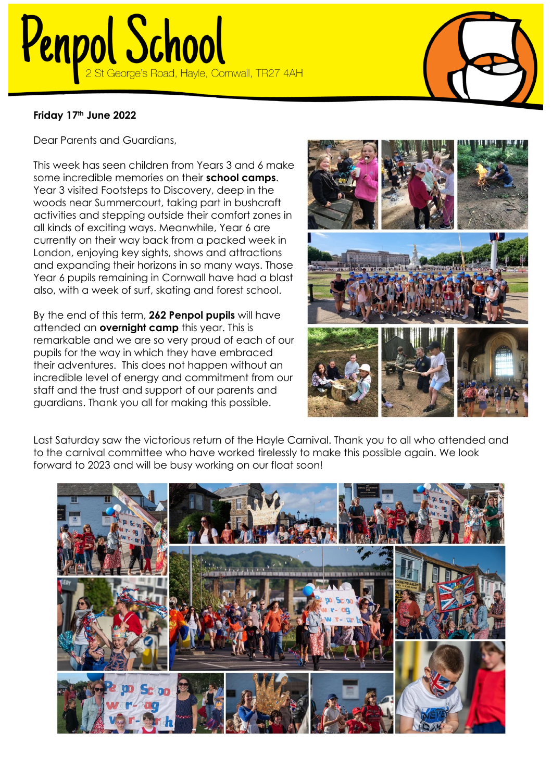## Penpol School

## **Friday 17th June 2022**

Dear Parents and Guardians,

This week has seen children from Years 3 and 6 make some incredible memories on their **school camps**. Year 3 visited Footsteps to Discovery, deep in the woods near Summercourt, taking part in bushcraft activities and stepping outside their comfort zones in all kinds of exciting ways. Meanwhile, Year 6 are currently on their way back from a packed week in London, enjoying key sights, shows and attractions and expanding their horizons in so many ways. Those Year 6 pupils remaining in Cornwall have had a blast also, with a week of surf, skating and forest school.

By the end of this term, **262 Penpol pupils** will have attended an **overnight camp** this year. This is remarkable and we are so very proud of each of our pupils for the way in which they have embraced their adventures. This does not happen without an incredible level of energy and commitment from our staff and the trust and support of our parents and guardians. Thank you all for making this possible.



Last Saturday saw the victorious return of the Hayle Carnival. Thank you to all who attended and to the carnival committee who have worked tirelessly to make this possible again. We look forward to 2023 and will be busy working on our float soon!